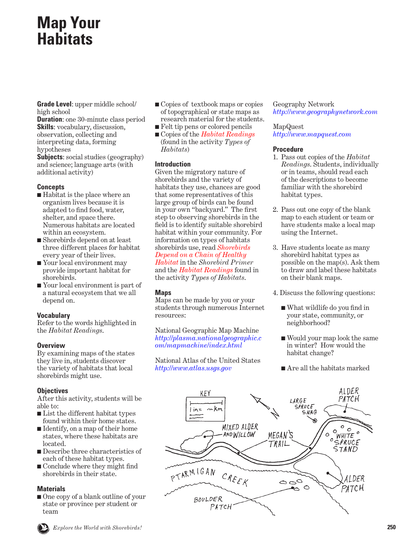# **Map Your Habitats**

**Grade Level**: upper middle school/ high school

**Duration:** one 30-minute class period **Skills**: vocabulary, discussion, observation, collecting and interpreting data, forming hypotheses

**Subjects**: social studies (geography) and science; language arts (with additional activity)

### **Concepts**

- Habitat is the place where an organism lives because it is adapted to find food, water, shelter, and space there. Numerous habitats are located within an ecosystem.
- Shorebirds depend on at least three different places for habitat every year of their lives.
- Your local environment may provide important habitat for shorebirds.
- Your local environment is part of a natural ecosystem that we all depend on.

### **Vocabulary**

Refer to the words highlighted in the *Habitat Readings*.

### **Overview**

By examining maps of the states they live in, students discover the variety of habitats that local shorebirds might use.

## **Objectives**

After this activity, students will be able to:

- List the different habitat types found within their home states.
- Identify, on a map of their home states, where these habitats are located.
- Describe three characteristics of each of these habitat types.
- Conclude where they might find shorebirds in their state.

### **Materials**

■ One copy of a blank outline of your state or province per student or team

- Copies of textbook maps or copies of topographical or state maps as research material for the students.
- Felt tip pens or colored pencils
- Copies of the *Habitat Readings* (found in the activity *Types of Habitats*)

## **Introduction**

Given the migratory nature of shorebirds and the variety of habitats they use, chances are good that some representatives of this large group of birds can be found in your own "backyard." The first step to observing shorebirds in the field is to identify suitable shorebird habitat within your community. For information on types of habitats shorebirds use, read *Shorebirds [Depend on a Chain of Healthy](#page-9-0) Habitat* in the *Shorebird Primer* and the *Habitat Readings* found in the activity *Types of Habitats*.

## **Maps**

Maps can be made by you or your students through numerous Internet resources:

National Geographic Map Machine *[http://plasma.nationalgeographic.c](http://plasma.nationalgeographic.com/mapmachine/index.html) [om/mapmachine/index.html](http://plasma.nationalgeographic.com/mapmachine/index.html)*

National Atlas of the United States *[http://www.atlas.usgs.gov](http://www-atlas.usgs.gov)*

Geography Network *<http://www.geographynetwork.com>*

## MapQuest

*<http://www.mapquest.com>*

### **Procedure**

- 1. Pass out copies of the *Habitat Readings*. Students, individually or in teams, should read each of the descriptions to become familiar with the shorebird habitat types.
- 2. Pass out one copy of the blank map to each student or team or have students make a local map using the Internet.
- 3. Have students locate as many shorebird habitat types as possible on the map(s). Ask them to draw and label these habitats on their blank maps.
- 4. Discuss the following questions:
	- What wildlife do you find in your state, community, or neighborhood?
	- Would your map look the same in winter? How would the habitat change?
	- Are all the habitats marked